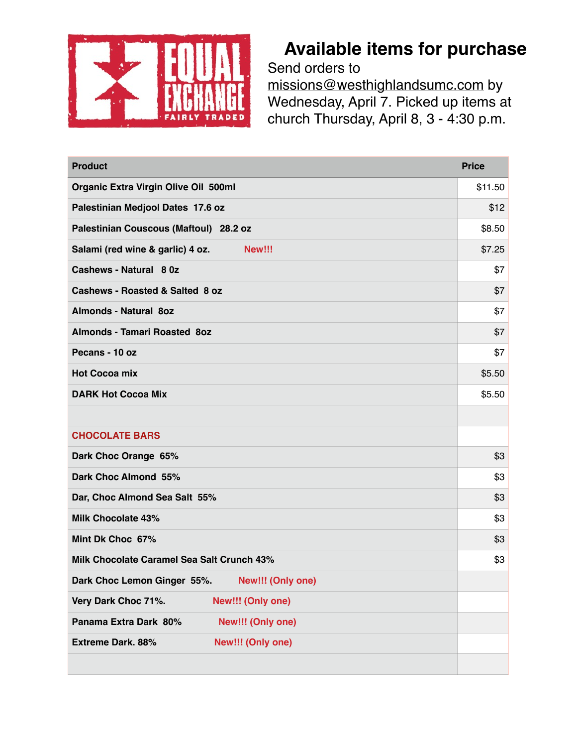

## **Available items for purchase**

Send orders to missions@westhighlandsumc.com by Wednesday, April 7. Picked up items at church Thursday, April 8, 3 - 4:30 p.m.

| <b>Product</b>                                   | <b>Price</b> |
|--------------------------------------------------|--------------|
| <b>Organic Extra Virgin Olive Oil 500ml</b>      | \$11.50      |
| Palestinian Medjool Dates 17.6 oz                | \$12         |
| Palestinian Couscous (Maftoul) 28.2 oz           | \$8.50       |
| Salami (red wine & garlic) 4 oz.<br>New!!!       | \$7.25       |
| Cashews - Natural 80z                            | \$7          |
| Cashews - Roasted & Salted 8 oz                  | \$7          |
| <b>Almonds - Natural 8oz</b>                     | \$7          |
| <b>Almonds - Tamari Roasted 8oz</b>              | \$7          |
| Pecans - 10 oz                                   | \$7          |
| <b>Hot Cocoa mix</b>                             | \$5.50       |
| <b>DARK Hot Cocoa Mix</b>                        | \$5.50       |
|                                                  |              |
| <b>CHOCOLATE BARS</b>                            |              |
| Dark Choc Orange 65%                             | \$3          |
| Dark Choc Almond 55%                             | \$3          |
| Dar, Choc Almond Sea Salt 55%                    | \$3          |
| <b>Milk Chocolate 43%</b>                        | \$3          |
| Mint Dk Choc 67%                                 | \$3          |
| Milk Chocolate Caramel Sea Salt Crunch 43%       | \$3          |
| Dark Choc Lemon Ginger 55%.<br>New!!! (Only one) |              |
| Very Dark Choc 71%.<br>New!!! (Only one)         |              |
| Panama Extra Dark 80%<br>New!!! (Only one)       |              |
| <b>Extreme Dark. 88%</b><br>New!!! (Only one)    |              |
|                                                  |              |